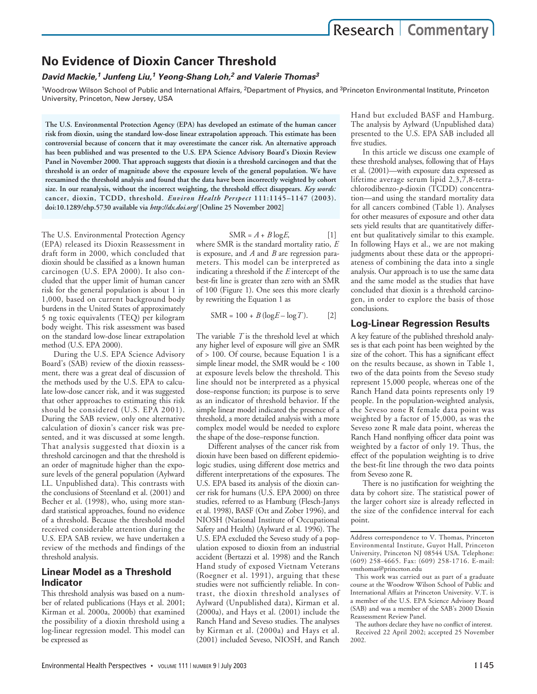# **No Evidence of Dioxin Cancer Threshold**

## *David Mackie,1 Junfeng Liu,<sup>1</sup> Yeong-Shang Loh,2 and Valerie Thomas3*

<sup>1</sup>Woodrow Wilson School of Public and International Affairs, <sup>2</sup>Department of Physics, and <sup>3</sup>Princeton Environmental Institute, Princeton University, Princeton, New Jersey, USA

**The U.S. Environmental Protection Agency (EPA) has developed an estimate of the human cancer risk from dioxin, using the standard low-dose linear extrapolation approach. This estimate has been controversial because of concern that it may overestimate the cancer risk. An alternative approach has been published and was presented to the U.S. EPA Science Advisory Board's Dioxin Review Panel in November 2000. That approach suggests that dioxin is a threshold carcinogen and that the threshold is an order of magnitude above the exposure levels of the general population. We have reexamined the threshold analysis and found that the data have been incorrectly weighted by cohort size. In our reanalysis, without the incorrect weighting, the threshold effect disappears.** *Key words:* **cancer, dioxin, TCDD, threshold.** *Environ Health Perspect* **111:1145–1147 (2003). doi:10.1289/ehp.5730 available via** *http://dx.doi.org/* **[Online 25 November 2002]**

The U.S. Environmental Protection Agency (EPA) released its Dioxin Reassessment in draft form in 2000, which concluded that dioxin should be classified as a known human carcinogen (U.S. EPA 2000). It also concluded that the upper limit of human cancer risk for the general population is about 1 in 1,000, based on current background body burdens in the United States of approximately 5 ng toxic equivalents (TEQ) per kilogram body weight. This risk assessment was based on the standard low-dose linear extrapolation method (U.S. EPA 2000).

During the U.S. EPA Science Advisory Board's (SAB) review of the dioxin reassessment, there was a great deal of discussion of the methods used by the U.S. EPA to calculate low-dose cancer risk, and it was suggested that other approaches to estimating this risk should be considered (U.S. EPA 2001). During the SAB review, only one alternative calculation of dioxin's cancer risk was presented, and it was discussed at some length. That analysis suggested that dioxin is a threshold carcinogen and that the threshold is an order of magnitude higher than the exposure levels of the general population (Aylward LL. Unpublished data). This contrasts with the conclusions of Steenland et al. (2001) and Becher et al. (1998), who, using more standard statistical approaches, found no evidence of a threshold. Because the threshold model received considerable attention during the U.S. EPA SAB review, we have undertaken a review of the methods and findings of the threshold analysis.

# **Linear Model as a Threshold Indicator**

This threshold analysis was based on a number of related publications (Hays et al. 2001; Kirman et al. 2000a, 2000b) that examined the possibility of a dioxin threshold using a log-linear regression model. This model can be expressed as

 $SMR = A + B \log E$ , [1]

where SMR is the standard mortality ratio, *E* is exposure, and *A* and *B* are regression parameters. This model can be interpreted as indicating a threshold if the *E* intercept of the best-fit line is greater than zero with an SMR of 100 (Figure 1). One sees this more clearly by rewriting the Equation 1 as

$$
SMR = 100 + B(\log E - \log T). \tag{2}
$$

The variable *T* is the threshold level at which any higher level of exposure will give an SMR of > 100. Of course, because Equation 1 is a simple linear model, the SMR would be < 100 at exposure levels below the threshold. This line should not be interpreted as a physical dose–response function; its purpose is to serve as an indicator of threshold behavior. If the simple linear model indicated the presence of a threshold, a more detailed analysis with a more complex model would be needed to explore the shape of the dose–response function.

Different analyses of the cancer risk from dioxin have been based on different epidemiologic studies, using different dose metrics and different interpretations of the exposures. The U.S. EPA based its analysis of the dioxin cancer risk for humans (U.S. EPA 2000) on three studies, referred to as Hamburg (Flesch-Janys et al. 1998), BASF (Ott and Zober 1996), and NIOSH (National Institute of Occupational Safety and Health) (Aylward et al. 1996). The U.S. EPA excluded the Seveso study of a population exposed to dioxin from an industrial accident (Bertazzi et al. 1998) and the Ranch Hand study of exposed Vietnam Veterans (Roegner et al. 1991), arguing that these studies were not sufficiently reliable. In contrast, the dioxin threshold analyses of Aylward (Unpublished data), Kirman et al. (2000a), and Hays et al. (2001) include the Ranch Hand and Seveso studies. The analyses by Kirman et al. (2000a) and Hays et al. (2001) included Seveso, NIOSH, and Ranch

Hand but excluded BASF and Hamburg. The analysis by Aylward (Unpublished data) presented to the U.S. EPA SAB included all five studies.

In this article we discuss one example of these threshold analyses, following that of Hays et al. (2001)—with exposure data expressed as lifetime average serum lipid 2,3,7,8-tetrachlorodibenzo-*p*-dioxin (TCDD) concentration—and using the standard mortality data for all cancers combined (Table 1). Analyses for other measures of exposure and other data sets yield results that are quantitatively different but qualitatively similar to this example. In following Hays et al., we are not making judgments about these data or the appropriateness of combining the data into a single analysis. Our approach is to use the same data and the same model as the studies that have concluded that dioxin is a threshold carcinogen, in order to explore the basis of those conclusions.

# **Log-Linear Regression Results**

A key feature of the published threshold analyses is that each point has been weighted by the size of the cohort. This has a significant effect on the results because, as shown in Table 1, two of the data points from the Seveso study represent 15,000 people, whereas one of the Ranch Hand data points represents only 19 people. In the population-weighted analysis, the Seveso zone R female data point was weighted by a factor of 15,000, as was the Seveso zone R male data point, whereas the Ranch Hand nonflying officer data point was weighted by a factor of only 19. Thus, the effect of the population weighting is to drive the best-fit line through the two data points from Seveso zone R.

There is no justification for weighting the data by cohort size. The statistical power of the larger cohort size is already reflected in the size of the confidence interval for each point.

The authors declare they have no conflict of interest. Received 22 April 2002; accepted 25 November 2002.

Address correspondence to V. Thomas, Princeton Environmental Institute, Guyot Hall, Princeton University, Princeton NJ 08544 USA. Telephone: (609) 258-4665. Fax: (609) 258-1716. E-mail: vmthomas@princeton.edu

This work was carried out as part of a graduate course at the Woodrow Wilson School of Public and International Affairs at Princeton University. V.T. is a member of the U.S. EPA Science Advisory Board (SAB) and was a member of the SAB's 2000 Dioxin Reassessment Review Panel.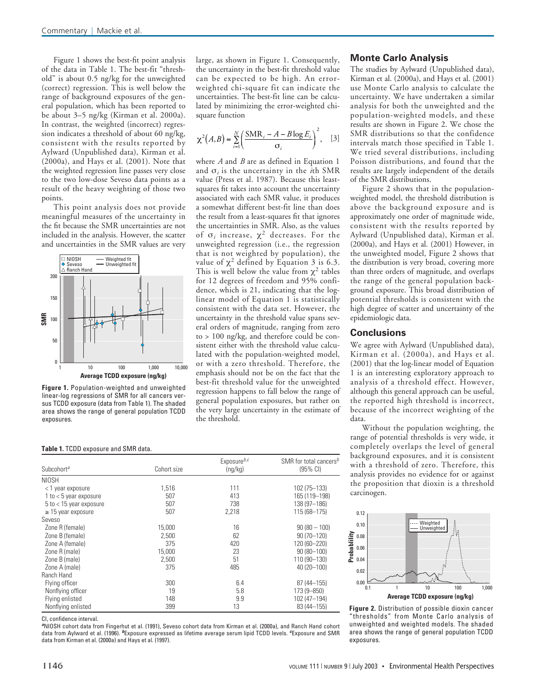Figure 1 shows the best-fit point analysis of the data in Table 1. The best-fit "threshold" is about 0.5 ng/kg for the unweighted (correct) regression. This is well below the range of background exposures of the general population, which has been reported to be about 3–5 ng/kg (Kirman et al. 2000a). In contrast, the weighted (incorrect) regression indicates a threshold of about 60 ng/kg, consistent with the results reported by Aylward (Unpublished data), Kirman et al. (2000a), and Hays et al. (2001). Note that the weighted regression line passes very close to the two low-dose Seveso data points as a result of the heavy weighting of those two points.

This point analysis does not provide meaningful measures of the uncertainty in the fit because the SMR uncertainties are not included in the analysis. However, the scatter and uncertainties in the SMR values are very



**Figure 1.** Population-weighted and unweighted linear-log regressions of SMR for all cancers versus TCDD exposure (data from Table 1). The shaded area shows the range of general population TCDD exposures.

#### **Table 1.** TCDD exposure and SMR data.

Exposure*b,c* SMR for total cancers*<sup>b</sup>* Subcohort<sup>a</sup> (95% CI) Cohort size (ng/kg) (95% CI) NIOSH < 1 year exposure 1,516 111 102 (75–133) 1 to < 5 year exposure 507 413 165 (119–198) 5 to < 15 year exposure 507 738 138 (97–186)  $\geq$  15 year exposure 507 Seveso Zone R (female) 15,000 16 90 (80 – 100) Zone B (female) 2,500 62 90 (70–120) Zone A (female) 375 420<br>2000 15 000 120∈200 120∈200 120∈20 Zone R (male) 15,000 23 90 (80–100) Zone B (male) 2,500 51 110 (90–130) Zone A (male) Ranch Hand Flying officer 155)<br>
19 5.8 6.4 87 (44–155)<br>
19 5.8 173 (9–850) Nonflying officer 19 19<br>
19 5.8 173 (9–850)<br>
19 9.9 102 (47–194) Flying enlisted 148 9.9 102 (47–194)<br>
148 9.9 102 (47–194)<br>
13 83 (44–155) Nonflying enlisted

CI, confidence interval.

*<sup>a</sup>*NIOSH cohort data from Fingerhut et al. (1991), Seveso cohort data from Kirman et al. (2000a), and Ranch Hand cohort data from Aylward et al. (1996). *b*Exposure expressed as lifetime average serum lipid TCDD levels. *c*Exposure and SMR data from Kirman et al. (2000a) and Hays et al. (1997).

large, as shown in Figure 1. Consequently, the uncertainty in the best-fit threshold value can be expected to be high. An errorweighted chi-square fit can indicate the uncertainties. The best-fit line can be calculated by minimizing the error-weighted chisquare function

$$
\chi^2(A,B) = \sum_{i=1}^N \left( \frac{\text{SMR}_i - A - B \log E_i}{\sigma_i} \right)^2, \quad [3]
$$

where *A* and *B* are as defined in Equation 1 and σ*<sup>i</sup>* is the uncertainty in the *i*th SMR value (Press et al. 1987). Because this leastsquares fit takes into account the uncertainty associated with each SMR value, it produces a somewhat different best-fit line than does the result from a least-squares fit that ignores the uncertainties in SMR. Also, as the values of σ*<sup>i</sup>* increase, χ<sup>2</sup> decreases. For the unweighted regression (i.e., the regression that is not weighted by population), the value of  $\chi^2$  defined by Equation 3 is 6.3. This is well below the value from  $\chi^2$  tables for 12 degrees of freedom and 95% confidence, which is 21, indicating that the loglinear model of Equation 1 is statistically consistent with the data set. However, the uncertainty in the threshold value spans several orders of magnitude, ranging from zero to > 100 ng/kg, and therefore could be consistent either with the threshold value calculated with the population-weighted model, or with a zero threshold. Therefore, the emphasis should not be on the fact that the best-fit threshold value for the unweighted regression happens to fall below the range of general population exposures, but rather on the very large uncertainty in the estimate of the threshold.

### **Monte Carlo Analysis**

The studies by Aylward (Unpublished data), Kirman et al. (2000a), and Hays et al. (2001) use Monte Carlo analysis to calculate the uncertainty. We have undertaken a similar analysis for both the unweighted and the population-weighted models, and these results are shown in Figure 2. We chose the SMR distributions so that the confidence intervals match those specified in Table 1. We tried several distributions, including Poisson distributions, and found that the results are largely independent of the details of the SMR distributions.

Figure 2 shows that in the populationweighted model, the threshold distribution is above the background exposure and is approximately one order of magnitude wide, consistent with the results reported by Aylward (Unpublished data), Kirman et al. (2000a), and Hays et al. (2001) However, in the unweighted model, Figure 2 shows that the distribution is very broad, covering more than three orders of magnitude, and overlaps the range of the general population background exposure. This broad distribution of potential thresholds is consistent with the high degree of scatter and uncertainty of the epidemiologic data.

### **Conclusions**

We agree with Aylward (Unpublished data), Kirman et al. (2000a), and Hays et al. (2001) that the log-linear model of Equation 1 is an interesting exploratory approach to analysis of a threshold effect. However, although this general approach can be useful, the reported high threshold is incorrect, because of the incorrect weighting of the data.

Without the population weighting, the range of potential thresholds is very wide, it completely overlaps the level of general background exposures, and it is consistent with a threshold of zero. Therefore, this analysis provides no evidence for or against the proposition that dioxin is a threshold carcinogen.



**Figure 2.** Distribution of possible dioxin cancer "thresholds" from Monte Carlo analysis of unweighted and weighted models. The shaded area shows the range of general population TCDD exposures.